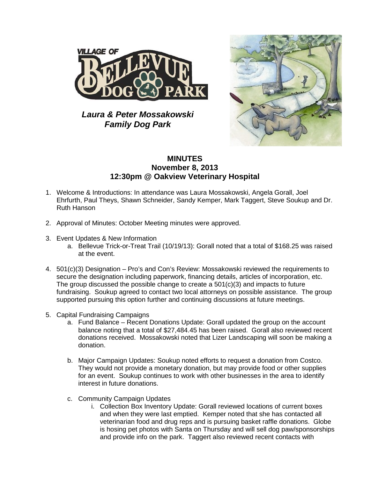

*Laura & Peter Mossakowski Family Dog Park*



## **MINUTES November 8, 2013 12:30pm @ Oakview Veterinary Hospital**

- 1. Welcome & Introductions: In attendance was Laura Mossakowski, Angela Gorall, Joel Ehrfurth, Paul Theys, Shawn Schneider, Sandy Kemper, Mark Taggert, Steve Soukup and Dr. Ruth Hanson
- 2. Approval of Minutes: October Meeting minutes were approved.
- 3. Event Updates & New Information
	- a. Bellevue Trick-or-Treat Trail (10/19/13): Gorall noted that a total of \$168.25 was raised at the event.
- 4. 501(c)(3) Designation Pro's and Con's Review: Mossakowski reviewed the requirements to secure the designation including paperwork, financing details, articles of incorporation, etc. The group discussed the possible change to create a  $501(c)(3)$  and impacts to future fundraising. Soukup agreed to contact two local attorneys on possible assistance. The group supported pursuing this option further and continuing discussions at future meetings.
- 5. Capital Fundraising Campaigns
	- a. Fund Balance Recent Donations Update: Gorall updated the group on the account balance noting that a total of \$27,484.45 has been raised. Gorall also reviewed recent donations received. Mossakowski noted that Lizer Landscaping will soon be making a donation.
	- b. Major Campaign Updates: Soukup noted efforts to request a donation from Costco. They would not provide a monetary donation, but may provide food or other supplies for an event. Soukup continues to work with other businesses in the area to identify interest in future donations.
	- c. Community Campaign Updates
		- i. Collection Box Inventory Update: Gorall reviewed locations of current boxes and when they were last emptied. Kemper noted that she has contacted all veterinarian food and drug reps and is pursuing basket raffle donations. Globe is hosing pet photos with Santa on Thursday and will sell dog paw/sponsorships and provide info on the park. Taggert also reviewed recent contacts with